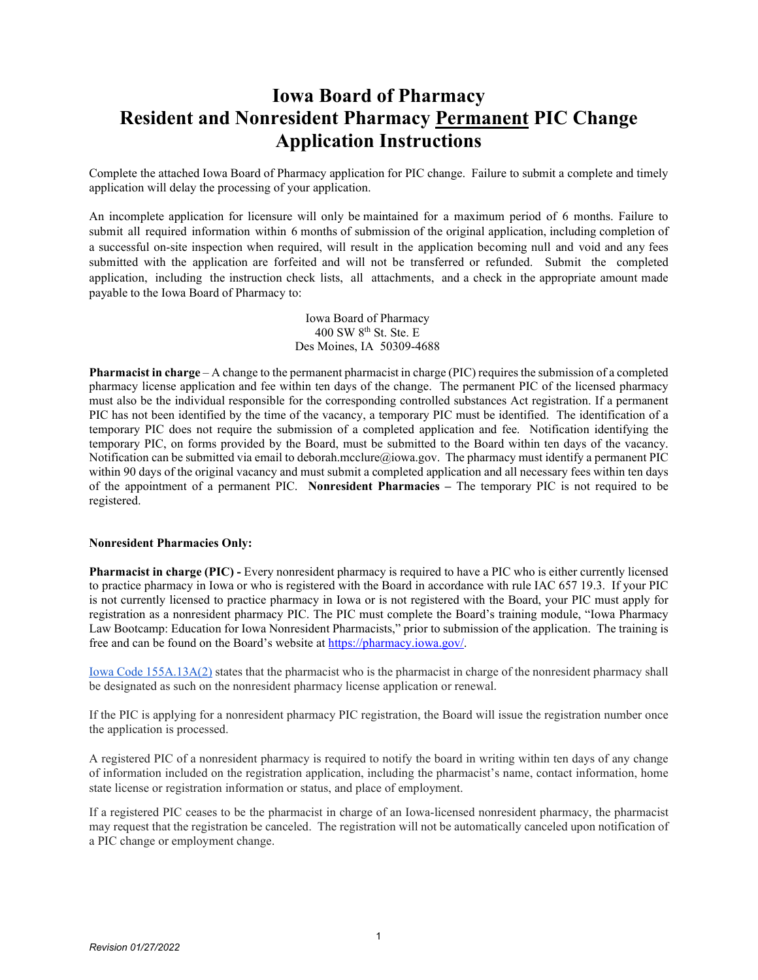### **Iowa Board of Pharmacy Resident and Nonresident Pharmacy Permanent PIC Change Application Instructions**

Complete the attached Iowa Board of Pharmacy application for PIC change. Failure to submit a complete and timely application will delay the processing of your application.

An incomplete application for licensure will only be maintained for a maximum period of 6 months. Failure to submit all required information within 6 months of submission of the original application, including completion of a successful on-site inspection when required, will result in the application becoming null and void and any fees submitted with the application are forfeited and will not be transferred or refunded. Submit the completed application, including the instruction check lists, all attachments, and a check in the appropriate amount made payable to the Iowa Board of Pharmacy to:

> Iowa Board of Pharmacy 400 SW 8th St. Ste. E Des Moines, IA 50309-4688

**Pharmacist in charge** – A change to the permanent pharmacist in charge (PIC) requires the submission of a completed pharmacy license application and fee within ten days of the change. The permanent PIC of the licensed pharmacy must also be the individual responsible for the corresponding controlled substances Act registration. If a permanent PIC has not been identified by the time of the vacancy, a temporary PIC must be identified. The identification of a temporary PIC does not require the submission of a completed application and fee. Notification identifying the temporary PIC, on forms provided by the Board, must be submitted to the Board within ten days of the vacancy. Notification can be submitted via email to deborah.mcclure@iowa.gov. The pharmacy must identify a permanent PIC within 90 days of the original vacancy and must submit a completed application and all necessary fees within ten days of the appointment of a permanent PIC. **Nonresident Pharmacies –** The temporary PIC is not required to be registered.

#### **Nonresident Pharmacies Only:**

**Pharmacist in charge (PIC) -** Every nonresident pharmacy is required to have a PIC who is either currently licensed to practice pharmacy in Iowa or who is registered with the Board in accordance with rule IAC 657 19.3. If your PIC is not currently licensed to practice pharmacy in Iowa or is not registered with the Board, your PIC must apply for registration as a nonresident pharmacy PIC. The PIC must complete the Board's training module, "Iowa Pharmacy Law Bootcamp: Education for Iowa Nonresident Pharmacists," prior to submission of the application. The training is free and can be found on the Board's website at [https://pharmacy.iowa.gov/.](https://pharmacy.iowa.gov/)

[Iowa Code 155A.13A\(2\)](https://www.legis.iowa.gov/DOCS/ACO/IC/LINC/Chapter.155a.pdf) states that the pharmacist who is the pharmacist in charge of the nonresident pharmacy shall be designated as such on the nonresident pharmacy license application or renewal*.*

If the PIC is applying for a nonresident pharmacy PIC registration, the Board will issue the registration number once the application is processed.

A registered PIC of a nonresident pharmacy is required to notify the board in writing within ten days of any change of information included on the registration application, including the pharmacist's name, contact information, home state license or registration information or status, and place of employment.

If a registered PIC ceases to be the pharmacist in charge of an Iowa-licensed nonresident pharmacy, the pharmacist may request that the registration be canceled. The registration will not be automatically canceled upon notification of a PIC change or employment change.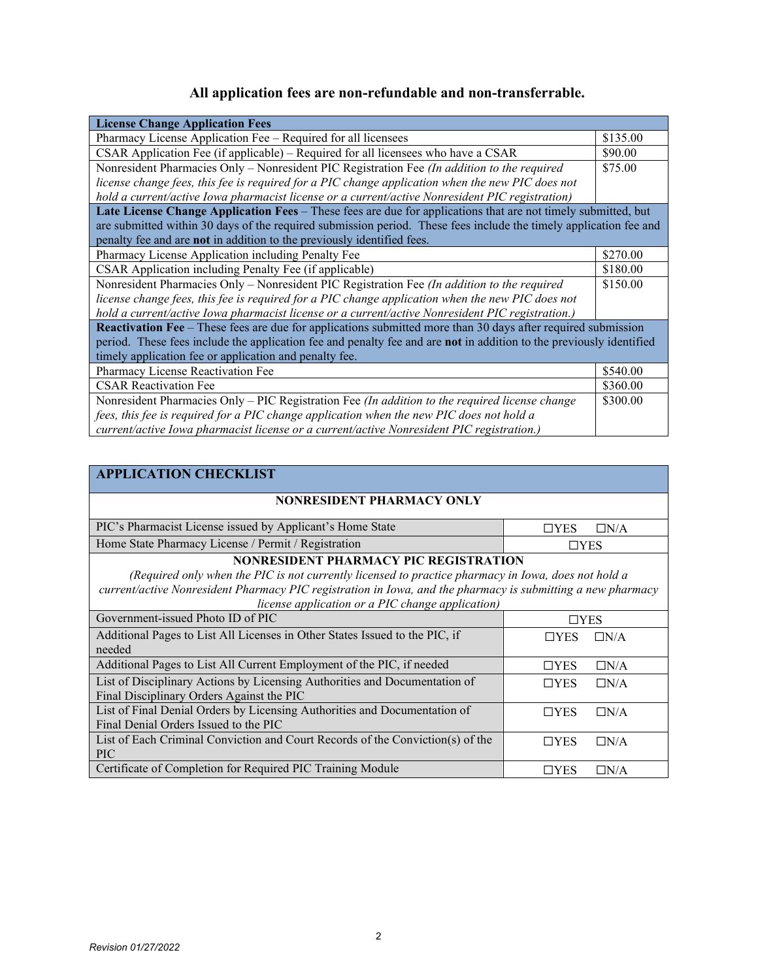## **All application fees are non-refundable and non-transferrable.**

| <b>License Change Application Fees</b>                                                                                     |          |
|----------------------------------------------------------------------------------------------------------------------------|----------|
| Pharmacy License Application Fee – Required for all licensees                                                              | \$135.00 |
| CSAR Application Fee (if applicable) – Required for all licensees who have a CSAR                                          | \$90.00  |
| Nonresident Pharmacies Only – Nonresident PIC Registration Fee (In addition to the required                                | \$75.00  |
| license change fees, this fee is required for a PIC change application when the new PIC does not                           |          |
| hold a current/active Iowa pharmacist license or a current/active Nonresident PIC registration)                            |          |
| Late License Change Application Fees – These fees are due for applications that are not timely submitted, but              |          |
| are submitted within 30 days of the required submission period. These fees include the timely application fee and          |          |
| penalty fee and are not in addition to the previously identified fees.                                                     |          |
| Pharmacy License Application including Penalty Fee                                                                         | \$270.00 |
| CSAR Application including Penalty Fee (if applicable)                                                                     | \$180.00 |
| Nonresident Pharmacies Only - Nonresident PIC Registration Fee (In addition to the required                                | \$150.00 |
| license change fees, this fee is required for a PIC change application when the new PIC does not                           |          |
| hold a current/active Iowa pharmacist license or a current/active Nonresident PIC registration.)                           |          |
| Reactivation Fee – These fees are due for applications submitted more than 30 days after required submission               |          |
| period. These fees include the application fee and penalty fee and are <b>not</b> in addition to the previously identified |          |
| timely application fee or application and penalty fee.                                                                     |          |
| Pharmacy License Reactivation Fee                                                                                          | \$540.00 |
| <b>CSAR Reactivation Fee</b>                                                                                               | \$360.00 |
| Nonresident Pharmacies Only – PIC Registration Fee (In addition to the required license change                             | \$300.00 |
| fees, this fee is required for a PIC change application when the new PIC does not hold a                                   |          |
| current/active Iowa pharmacist license or a current/active Nonresident PIC registration.)                                  |          |

| <b>APPLICATION CHECKLIST</b>                                                                                |                             |
|-------------------------------------------------------------------------------------------------------------|-----------------------------|
| NONRESIDENT PHARMACY ONLY                                                                                   |                             |
| PIC's Pharmacist License issued by Applicant's Home State                                                   | $\Box$ YES<br>$\Box N/A$    |
| Home State Pharmacy License / Permit / Registration                                                         | $\Box$ YES                  |
| NONRESIDENT PHARMACY PIC REGISTRATION                                                                       |                             |
| (Required only when the PIC is not currently licensed to practice pharmacy in Iowa, does not hold a         |                             |
| current/active Nonresident Pharmacy PIC registration in Iowa, and the pharmacy is submitting a new pharmacy |                             |
| license application or a PIC change application)                                                            |                             |
| Government-issued Photo ID of PIC                                                                           | $\square$ YES               |
| Additional Pages to List All Licenses in Other States Issued to the PIC, if                                 | $\Box N/A$<br><b>TYES</b>   |
| needed                                                                                                      |                             |
| Additional Pages to List All Current Employment of the PIC, if needed                                       | $\Box N/A$<br>$\square$ YES |
| List of Disciplinary Actions by Licensing Authorities and Documentation of                                  | $\Box$ YES<br>$\Box N/A$    |
| Final Disciplinary Orders Against the PIC                                                                   |                             |
| List of Final Denial Orders by Licensing Authorities and Documentation of                                   | $\Box N/A$<br>$\square$ YES |
| Final Denial Orders Issued to the PIC                                                                       |                             |
| List of Each Criminal Conviction and Court Records of the Conviction(s) of the                              | $\Box N/A$<br>$\square$ YES |
| <b>PIC</b>                                                                                                  |                             |
| Certificate of Completion for Required PIC Training Module                                                  | $\square$ YES<br>$\Box N/A$ |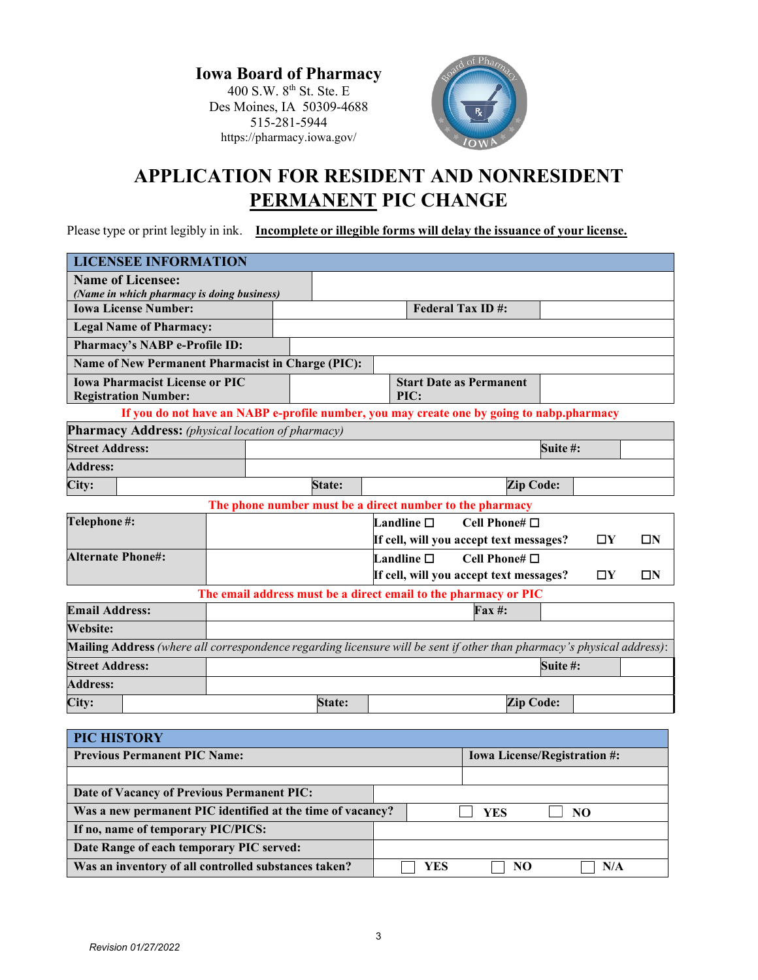**Iowa Board of Pharmacy** 400 S.W. 8th St. Ste. E Des Moines, IA 50309-4688 515-281-5944 https://pharmacy.iowa.gov/



# **APPLICATION FOR RESIDENT AND NONRESIDENT PERMANENT PIC CHANGE**

Please type or print legibly in ink. **Incomplete or illegible forms will delay the issuance of your license.**

| <b>LICENSEE INFORMATION</b>                                                                                            |                                          |        |                    |      |                                                                 |          |             |          |
|------------------------------------------------------------------------------------------------------------------------|------------------------------------------|--------|--------------------|------|-----------------------------------------------------------------|----------|-------------|----------|
| <b>Name of Licensee:</b>                                                                                               |                                          |        |                    |      |                                                                 |          |             |          |
| (Name in which pharmacy is doing business)<br><b>Iowa License Number:</b>                                              |                                          |        |                    |      |                                                                 |          |             |          |
|                                                                                                                        |                                          |        |                    |      | <b>Federal Tax ID#:</b>                                         |          |             |          |
| <b>Legal Name of Pharmacy:</b>                                                                                         |                                          |        |                    |      |                                                                 |          |             |          |
| <b>Pharmacy's NABP e-Profile ID:</b>                                                                                   |                                          |        |                    |      |                                                                 |          |             |          |
| Name of New Permanent Pharmacist in Charge (PIC):                                                                      |                                          |        |                    |      |                                                                 |          |             |          |
| <b>Iowa Pharmacist License or PIC</b><br><b>Registration Number:</b>                                                   |                                          |        |                    | PIC: | <b>Start Date as Permanent</b>                                  |          |             |          |
| If you do not have an NABP e-profile number, you may create one by going to nabp.pharmacy                              |                                          |        |                    |      |                                                                 |          |             |          |
| <b>Pharmacy Address:</b> (physical location of pharmacy)                                                               |                                          |        |                    |      |                                                                 |          |             |          |
| <b>Street Address:</b>                                                                                                 |                                          |        |                    |      |                                                                 | Suite #: |             |          |
| <b>Address:</b>                                                                                                        |                                          |        |                    |      |                                                                 |          |             |          |
| City:                                                                                                                  |                                          | State: |                    |      | <b>Zip Code:</b>                                                |          |             |          |
|                                                                                                                        |                                          |        |                    |      | The phone number must be a direct number to the pharmacy        |          |             |          |
| Telephone#:                                                                                                            |                                          |        | Landline $\square$ |      | Cell Phone# $\square$                                           |          |             |          |
|                                                                                                                        |                                          |        |                    |      | If cell, will you accept text messages?                         |          | $\square Y$ | $\Box N$ |
| <b>Alternate Phone#:</b>                                                                                               | Landline $\square$<br>Cell Phone# $\Box$ |        |                    |      |                                                                 |          |             |          |
|                                                                                                                        |                                          |        |                    |      | If cell, will you accept text messages?                         |          | $\square Y$ | $\Box N$ |
|                                                                                                                        |                                          |        |                    |      | The email address must be a direct email to the pharmacy or PIC |          |             |          |
| <b>Email Address:</b>                                                                                                  |                                          |        |                    |      | Fax #:                                                          |          |             |          |
| <b>Website:</b>                                                                                                        |                                          |        |                    |      |                                                                 |          |             |          |
| Mailing Address (where all correspondence regarding licensure will be sent if other than pharmacy's physical address): |                                          |        |                    |      |                                                                 |          |             |          |
| <b>Street Address:</b>                                                                                                 |                                          |        |                    |      |                                                                 | Suite #: |             |          |
| <b>Address:</b>                                                                                                        |                                          |        |                    |      |                                                                 |          |             |          |
| City:                                                                                                                  |                                          | State: |                    |      | Zip Code:                                                       |          |             |          |
|                                                                                                                        |                                          |        |                    |      |                                                                 |          |             |          |
| PIC HISTORY                                                                                                            |                                          |        |                    |      |                                                                 |          |             |          |
| <b>Previous Permanent PIC Name:</b><br><b>Iowa License/Registration #:</b>                                             |                                          |        |                    |      |                                                                 |          |             |          |
|                                                                                                                        |                                          |        |                    |      |                                                                 |          |             |          |
| Date of Vacancy of Previous Permanent PIC:                                                                             |                                          |        |                    |      |                                                                 |          |             |          |
| Was a new permanent PIC identified at the time of vacancy?<br><b>YES</b><br>N <sub>O</sub>                             |                                          |        |                    |      |                                                                 |          |             |          |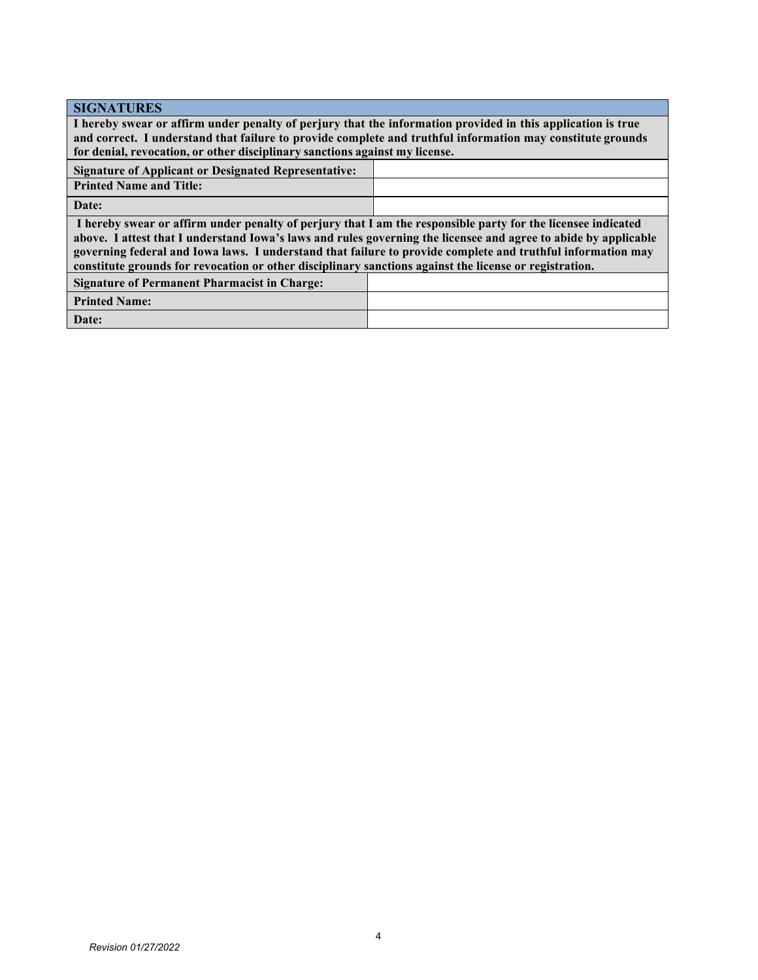| <b>SIGNATURES</b>                                                                                               |  |  |
|-----------------------------------------------------------------------------------------------------------------|--|--|
| I hereby swear or affirm under penalty of perjury that the information provided in this application is true     |  |  |
| and correct. I understand that failure to provide complete and truthful information may constitute grounds      |  |  |
| for denial, revocation, or other disciplinary sanctions against my license.                                     |  |  |
| <b>Signature of Applicant or Designated Representative:</b>                                                     |  |  |
| <b>Printed Name and Title:</b>                                                                                  |  |  |
| Date:                                                                                                           |  |  |
| I hereby swear or affirm under penalty of perjury that I am the responsible party for the licensee indicated    |  |  |
| above. I attest that I understand Iowa's laws and rules governing the licensee and agree to abide by applicable |  |  |
| governing federal and Iowa laws. I understand that failure to provide complete and truthful information may     |  |  |
| constitute grounds for revocation or other disciplinary sanctions against the license or registration.          |  |  |
| <b>Signature of Permanent Pharmacist in Charge:</b>                                                             |  |  |
| <b>Printed Name:</b>                                                                                            |  |  |
| Date:                                                                                                           |  |  |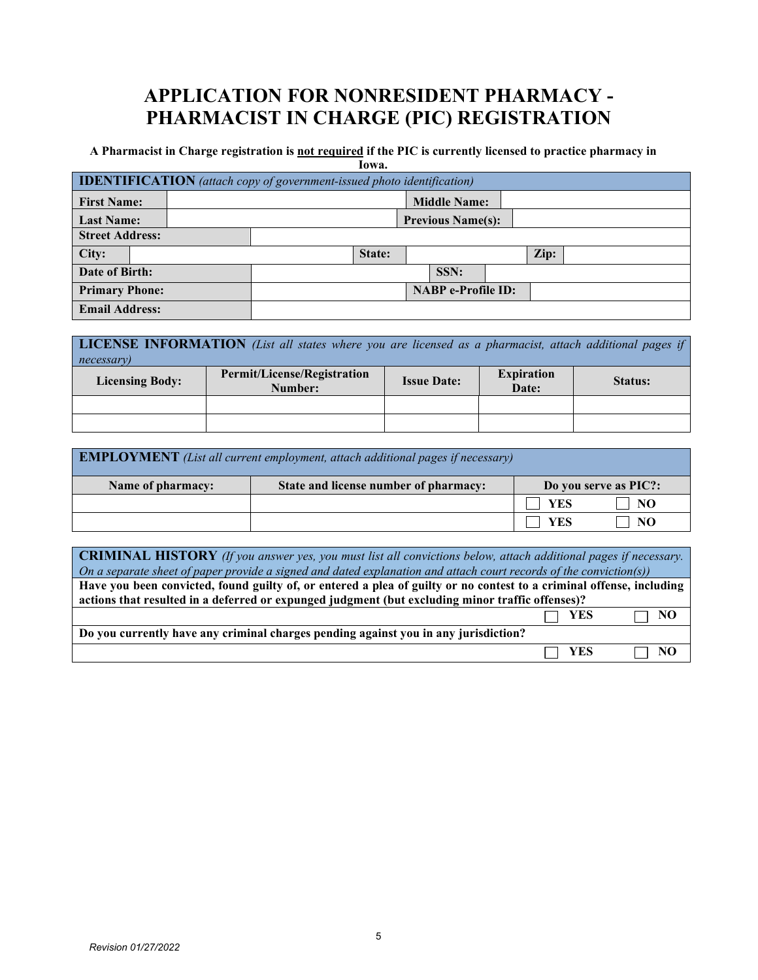## **APPLICATION FOR NONRESIDENT PHARMACY - PHARMACIST IN CHARGE (PIC) REGISTRATION**

**A Pharmacist in Charge registration is not required if the PIC is currently licensed to practice pharmacy in** 

| × |
|---|
|---|

|                        | <b>IDENTIFICATION</b> (attach copy of government-issued photo identification) |  |        |  |                           |      |  |  |
|------------------------|-------------------------------------------------------------------------------|--|--------|--|---------------------------|------|--|--|
| <b>First Name:</b>     |                                                                               |  |        |  | <b>Middle Name:</b>       |      |  |  |
| <b>Last Name:</b>      |                                                                               |  |        |  | <b>Previous Name(s):</b>  |      |  |  |
| <b>Street Address:</b> |                                                                               |  |        |  |                           |      |  |  |
| City:                  |                                                                               |  | State: |  |                           | Zip: |  |  |
| Date of Birth:         |                                                                               |  |        |  | SSN:                      |      |  |  |
| <b>Primary Phone:</b>  |                                                                               |  |        |  | <b>NABP</b> e-Profile ID: |      |  |  |
| <b>Email Address:</b>  |                                                                               |  |        |  |                           |      |  |  |

| <b>LICENSE INFORMATION</b> (List all states where you are licensed as a pharmacist, attach additional pages if<br><i>necessary</i> |                                               |                    |                            |                |
|------------------------------------------------------------------------------------------------------------------------------------|-----------------------------------------------|--------------------|----------------------------|----------------|
| <b>Licensing Body:</b>                                                                                                             | <b>Permit/License/Registration</b><br>Number: | <b>Issue Date:</b> | <b>Expiration</b><br>Date: | <b>Status:</b> |
|                                                                                                                                    |                                               |                    |                            |                |
|                                                                                                                                    |                                               |                    |                            |                |

| <b>EMPLOYMENT</b> (List all current employment, attach additional pages if necessary) |                                       |            |                       |
|---------------------------------------------------------------------------------------|---------------------------------------|------------|-----------------------|
| Name of pharmacy:                                                                     | State and license number of pharmacy: |            | Do you serve as PIC?: |
|                                                                                       |                                       | <b>YES</b> | NO                    |
|                                                                                       |                                       | <b>YES</b> | NO.                   |

| <b>CRIMINAL HISTORY</b> (If you answer yes, you must list all convictions below, attach additional pages if necessary. |      |    |
|------------------------------------------------------------------------------------------------------------------------|------|----|
| On a separate sheet of paper provide a signed and dated explanation and attach court records of the conviction(s))     |      |    |
| Have you been convicted, found guilty of, or entered a plea of guilty or no contest to a criminal offense, including   |      |    |
| actions that resulted in a deferred or expunged judgment (but excluding minor traffic offenses)?                       |      |    |
|                                                                                                                        | YES. | NO |
| Do you currently have any criminal charges pending against you in any jurisdiction?                                    |      |    |
|                                                                                                                        | YES  | NΩ |